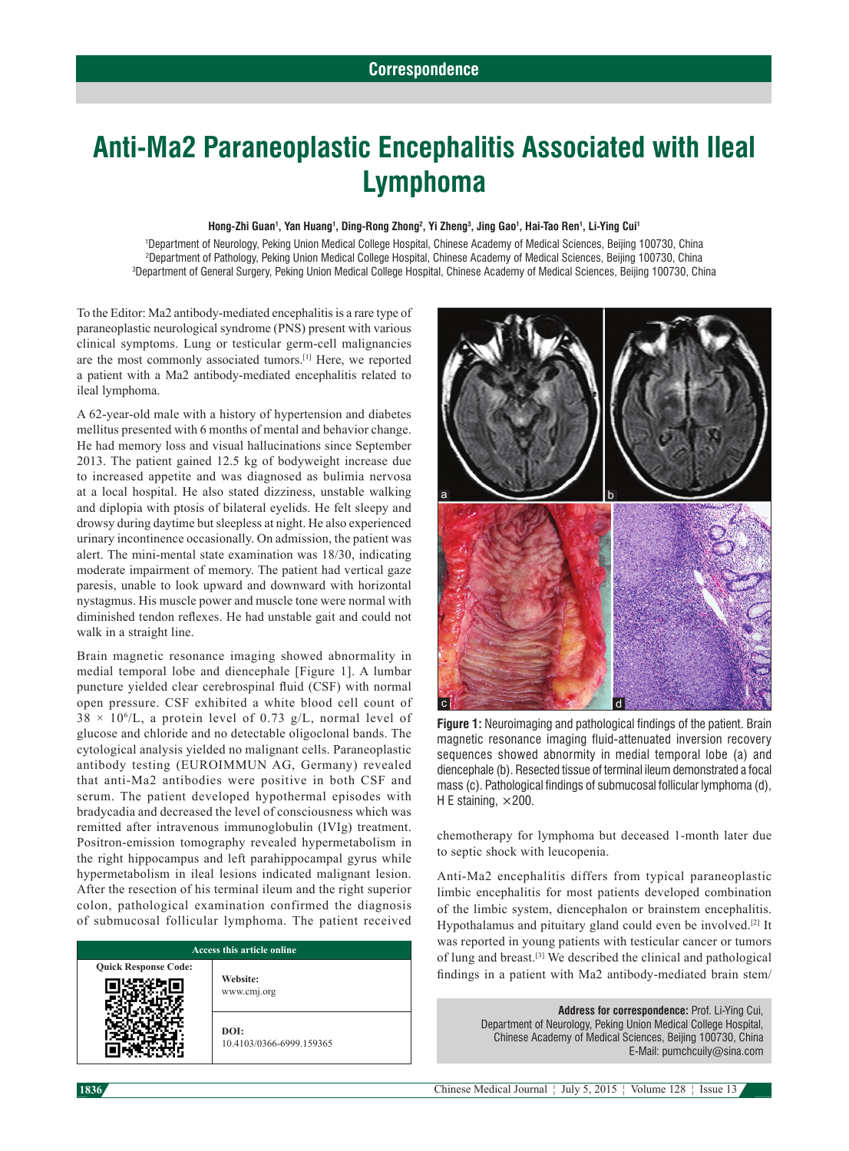## **Anti‑Ma2 Paraneoplastic Encephalitis Associated with Ileal Lymphoma**

## **Hong‑Zhi Guan1 , Yan Huang1 , Ding-Rong Zhong2 , Yi Zheng3 , Jing Gao1 , Hai‑Tao Ren1 , Li-Ying Cui1**

1 Department of Neurology, Peking Union Medical College Hospital, Chinese Academy of Medical Sciences, Beijing 100730, China 2 Department of Pathology, Peking Union Medical College Hospital, Chinese Academy of Medical Sciences, Beijing 100730, China 3 Department of General Surgery, Peking Union Medical College Hospital, Chinese Academy of Medical Sciences, Beijing 100730, China

To the Editor: Ma2 antibody‑mediated encephalitis is a rare type of paraneoplastic neurological syndrome (PNS) present with various clinical symptoms. Lung or testicular germ‑cell malignancies are the most commonly associated tumors.[1] Here, we reported a patient with a Ma2 antibody‑mediated encephalitis related to ileal lymphoma.

A 62‑year‑old male with a history of hypertension and diabetes mellitus presented with 6 months of mental and behavior change. He had memory loss and visual hallucinations since September 2013. The patient gained 12.5 kg of bodyweight increase due to increased appetite and was diagnosed as bulimia nervosa at a local hospital. He also stated dizziness, unstable walking and diplopia with ptosis of bilateral eyelids. He felt sleepy and drowsy during daytime but sleepless at night. He also experienced urinary incontinence occasionally. On admission, the patient was alert. The mini‑mental state examination was 18/30, indicating moderate impairment of memory. The patient had vertical gaze paresis, unable to look upward and downward with horizontal nystagmus. His muscle power and muscle tone were normal with diminished tendon reflexes. He had unstable gait and could not walk in a straight line.

Brain magnetic resonance imaging showed abnormality in medial temporal lobe and diencephale [Figure 1]. A lumbar puncture yielded clear cerebrospinal fluid (CSF) with normal open pressure. CSF exhibited a white blood cell count of  $38 \times 10^{6}/L$ , a protein level of 0.73 g/L, normal level of glucose and chloride and no detectable oligoclonal bands. The cytological analysis yielded no malignant cells. Paraneoplastic antibody testing (EUROIMMUN AG, Germany) revealed that anti‑Ma2 antibodies were positive in both CSF and serum. The patient developed hypothermal episodes with bradycadia and decreased the level of consciousness which was remitted after intravenous immunoglobulin (IVIg) treatment. Positron-emission tomography revealed hypermetabolism in the right hippocampus and left parahippocampal gyrus while hypermetabolism in ileal lesions indicated malignant lesion. After the resection of his terminal ileum and the right superior colon, pathological examination confirmed the diagnosis of submucosal follicular lymphoma. The patient received

| <b>Access this article online</b> |                                  |
|-----------------------------------|----------------------------------|
| <b>Quick Response Code:</b>       | Website:<br>www.cmj.org          |
|                                   | DOI:<br>10.4103/0366-6999.159365 |



**Figure 1:** Neuroimaging and pathological findings of the patient. Brain magnetic resonance imaging fluid-attenuated inversion recovery sequences showed abnormity in medial temporal lobe (a) and diencephale (b). Resected tissue of terminal ileum demonstrated a focal mass (c). Pathological findings of submucosal follicular lymphoma (d), H E staining,  $\times$  200.

chemotherapy for lymphoma but deceased 1‑month later due to septic shock with leucopenia.

Anti-Ma2 encephalitis differs from typical paraneoplastic limbic encephalitis for most patients developed combination of the limbic system, diencephalon or brainstem encephalitis. Hypothalamus and pituitary gland could even be involved.<sup>[2]</sup> It was reported in young patients with testicular cancer or tumors of lung and breast.[3] We described the clinical and pathological findings in a patient with Ma2 antibody-mediated brain stem/

> **Address for correspondence:** Prof. Li-Ying Cui, Department of Neurology, Peking Union Medical College Hospital, Chinese Academy of Medical Sciences, Beijing 100730, China E‑Mail: pumchcuily@sina.com